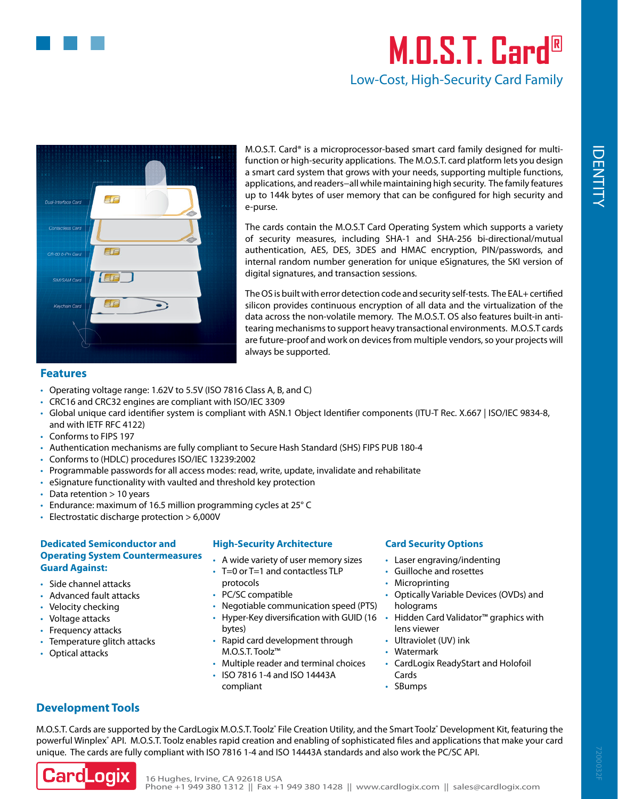

# **M.O.S.T. Card®** Low-Cost, High-Security Card Family



[M.O.S.T. Card®](https://www.cardlogix.com/products/most-card-c-series-microprocessor-smart-cards/) is a [microprocessor-based smart card](https://www.cardlogix.com/microprocessor-smart-cards/) family designed for multifunction or high-security applications. The M.O.S.T. card platform lets you design a [smart card](https://www.cardlogix.com/product-category/smart-cards/) system that grows with your needs, supporting multiple functions, applications, and readers−all while maintaining high security. The family features up to 144k bytes of user memory that can be configured for high security and e-purse.

The cards contain the M.O.S.T Card Operating System which supports a variety of security measures, including SHA-1 and SHA-256 bi-directional/mutual authentication, AES, DES, 3DES and HMAC encryption, PIN/passwords, and internal random number generation for unique eSignatures, the SKI version of digital signatures, and transaction sessions.

The OS is built with error detection code and security self-tests. The EAL+ certified silicon provides continuous encryption of all data and the virtualization of the data across the non-volatile memory. The M.O.S.T. OS also features built-in antitearing mechanisms to support heavy transactional environments. M.O.S.T cards are future-proof and work on devices from multiple vendors, so your projects will always be supported.

# **Features**

- Operating voltage range: 1.62V to 5.5V (ISO 7816 Class A, B, and C)
- • CRC16 and CRC32 engines are compliant with ISO/IEC 3309
- • Global unique card identifier system is compliant with ASN.1 Object Identifier components (ITU-T Rec. X.667 | ISO/IEC 9834-8, and with IETF RFC 4122)
- Conforms to FIPS 197
- • Authentication mechanisms are fully compliant to Secure Hash Standard (SHS) FIPS PUB 180-4
- • Conforms to (HDLC) procedures ISO/IEC 13239:2002
- • Programmable passwords for all access modes: read, write, update, invalidate and rehabilitate
- eSignature functionality with vaulted and threshold key protection
- Data retention  $> 10$  years
- Endurance: maximum of 16.5 million programming cycles at 25° C
- $\cdot$  Electrostatic discharge protection  $> 6,000V$

### **Dedicated Semiconductor and Operating System Countermeasures Guard Against:**

- • Side channel attacks
- • Advanced fault attacks
- Velocity checking
- Voltage attacks
- Frequency attacks
- Temperature glitch attacks
- Optical attacks

#### **High-Security Architecture**

- • A wide variety of user memory sizes
- T=0 or T=1 and contactless TLP
- protocols
- PC/SC compatible
- Negotiable communication speed (PTS)
- Hyper-Key diversification with GUID (16
- bytes) Rapid card development through
- [M.O.S.T. Toolz™](https://www.cardlogix.com/product-category/software/development-tools/) • Multiple reader and terminal choices
- • ISO 7816 1-4 and ISO 14443A compliant

## **Card Security Options**

- • Laser engraving/indenting
- • Guilloche and rosettes
- Microprinting
- • Optically Variable Devices (OVDs) and holograms
- • Hidden [Card Validator™](https://www.cardlogix.com/downloads/literature/information-sheets/7200026-Card-Validator-for-Instant-Visual-Card-Validation.pdf) graphics with lens viewer
- • Ultraviolet (UV) ink
- • Watermark
- • CardLogix [ReadyStart](https://www.cardlogix.com/product/readystart-secure-smart-cards/) and [Holofoil](https://www.cardlogix.com/product/holofoil-hologram-security-smart-cards/) Cards
- • SBumps

# **Development Tools**

M.O.S.T. Cards are supported by the CardLogix M.O.S.T. Toolz® File Creation Utility, and the Smart Toolz® [Development Kit,](https://www.cardlogix.com/product/smart-card-application-development-kit-mifare/) featuring the powerful Winplex<sup>®</sup> API. M.O.S.T. Toolz enables rapid creation and enabling of sophisticated files and applications that make your card unique. The cards are fully compliant with ISO 7816 1-4 and ISO 14443A standards and also work the PC/SC API.